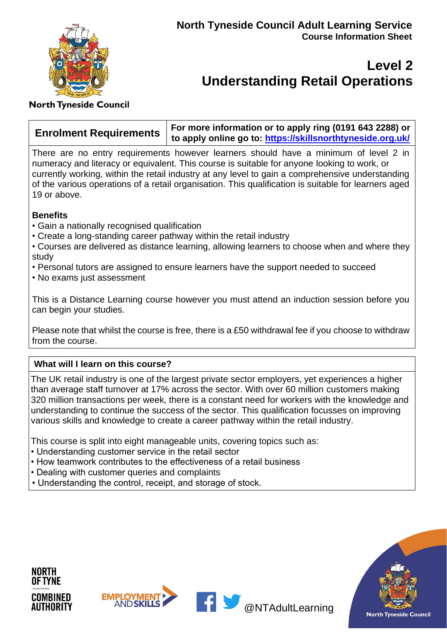

# **Level 2 Understanding Retail Operations**

### **North Tyneside Council**

|  | For more information or to apply ring (0191 643 2288) or                         |
|--|----------------------------------------------------------------------------------|
|  | Arrolment Requirements   to more measure to: https://skillsnorthtyneside.org.uk/ |

There are no entry requirements however learners should have a minimum of level 2 in numeracy and literacy or equivalent. This course is suitable for anyone looking to work, or currently working, within the retail industry at any level to gain a comprehensive understanding of the various operations of a retail organisation. This qualification is suitable for learners aged 19 or above.

### **Benefits**

- Gain a nationally recognised qualification
- Create a long-standing career pathway within the retail industry
- Courses are delivered as distance learning, allowing learners to choose when and where they study
- Personal tutors are assigned to ensure learners have the support needed to succeed
- No exams just assessment

This is a Distance Learning course however you must attend an induction session before you can begin your studies.

Please note that whilst the course is free, there is a £50 withdrawal fee if you choose to withdraw from the course.

### **What will I learn on this course?**

The UK retail industry is one of the largest private sector employers, yet experiences a higher than average staff turnover at 17% across the sector. With over 60 million customers making 320 million transactions per week, there is a constant need for workers with the knowledge and understanding to continue the success of the sector. This qualification focusses on improving various skills and knowledge to create a career pathway within the retail industry.

This course is split into eight manageable units, covering topics such as:

- Understanding customer service in the retail sector
- How teamwork contributes to the effectiveness of a retail business
- Dealing with customer queries and complaints
- Understanding the control, receipt, and storage of stock.